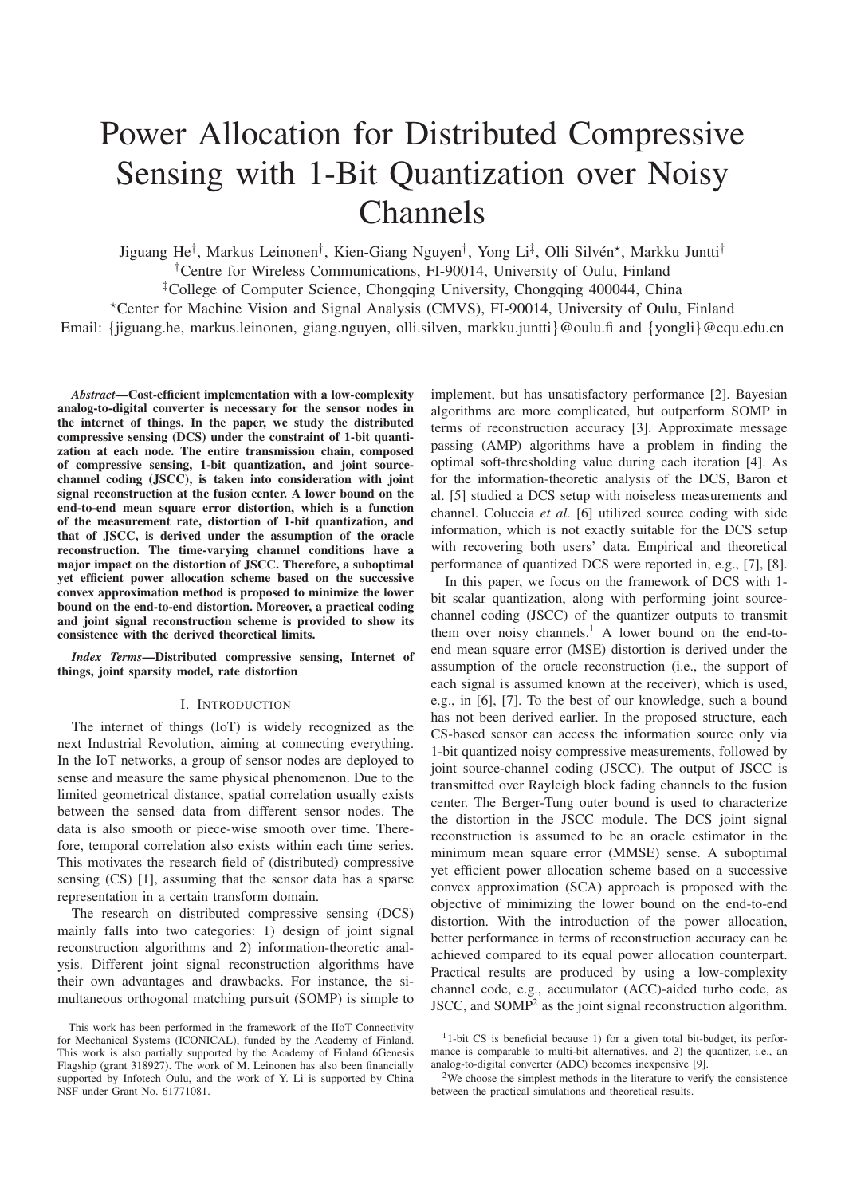# Power Allocation for Distributed Compressive Sensing with 1-Bit Quantization over Noisy Channels

Jiguang He<sup>†</sup>, Markus Leinonen<sup>†</sup>, Kien-Giang Nguyen<sup>†</sup>, Yong Li<sup>‡</sup>, Olli Silvén\*, Markku Juntti<sup>†</sup> †Centre for Wireless Communications, FI-90014, University of Oulu, Finland ‡College of Computer Science, Chongqing University, Chongqing 400044, China

<sup>⋆</sup>Center for Machine Vision and Signal Analysis (CMVS), FI-90014, University of Oulu, Finland Email: {jiguang.he, markus.leinonen, giang.nguyen, olli.silven, markku.juntti}@oulu.fi and {yongli}@cqu.edu.cn

*Abstract*—Cost-efficient implementation with a low-complexity analog-to-digital converter is necessary for the sensor nodes in the internet of things. In the paper, we study the distributed compressive sensing (DCS) under the constraint of 1-bit quantization at each node. The entire transmission chain, composed of compressive sensing, 1-bit quantization, and joint sourcechannel coding (JSCC), is taken into consideration with joint signal reconstruction at the fusion center. A lower bound on the end-to-end mean square error distortion, which is a function of the measurement rate, distortion of 1-bit quantization, and that of JSCC, is derived under the assumption of the oracle reconstruction. The time-varying channel conditions have a major impact on the distortion of JSCC. Therefore, a suboptimal yet efficient power allocation scheme based on the successive convex approximation method is proposed to minimize the lower bound on the end-to-end distortion. Moreover, a practical coding and joint signal reconstruction scheme is provided to show its consistence with the derived theoretical limits.

*Index Terms*—Distributed compressive sensing, Internet of things, joint sparsity model, rate distortion

## I. INTRODUCTION

The internet of things (IoT) is widely recognized as the next Industrial Revolution, aiming at connecting everything. In the IoT networks, a group of sensor nodes are deployed to sense and measure the same physical phenomenon. Due to the limited geometrical distance, spatial correlation usually exists between the sensed data from different sensor nodes. The data is also smooth or piece-wise smooth over time. Therefore, temporal correlation also exists within each time series. This motivates the research field of (distributed) compressive sensing (CS) [1], assuming that the sensor data has a sparse representation in a certain transform domain.

The research on distributed compressive sensing (DCS) mainly falls into two categories: 1) design of joint signal reconstruction algorithms and 2) information-theoretic analysis. Different joint signal reconstruction algorithms have their own advantages and drawbacks. For instance, the simultaneous orthogonal matching pursuit (SOMP) is simple to

implement, but has unsatisfactory performance [2]. Bayesian algorithms are more complicated, but outperform SOMP in terms of reconstruction accuracy [3]. Approximate message passing (AMP) algorithms have a problem in finding the optimal soft-thresholding value during each iteration [4]. As for the information-theoretic analysis of the DCS, Baron et al. [5] studied a DCS setup with noiseless measurements and channel. Coluccia *et al.* [6] utilized source coding with side information, which is not exactly suitable for the DCS setup with recovering both users' data. Empirical and theoretical performance of quantized DCS were reported in, e.g., [7], [8].

In this paper, we focus on the framework of DCS with 1 bit scalar quantization, along with performing joint sourcechannel coding (JSCC) of the quantizer outputs to transmit them over noisy channels.<sup>1</sup> A lower bound on the end-toend mean square error (MSE) distortion is derived under the assumption of the oracle reconstruction (i.e., the support of each signal is assumed known at the receiver), which is used, e.g., in [6], [7]. To the best of our knowledge, such a bound has not been derived earlier. In the proposed structure, each CS-based sensor can access the information source only via 1-bit quantized noisy compressive measurements, followed by joint source-channel coding (JSCC). The output of JSCC is transmitted over Rayleigh block fading channels to the fusion center. The Berger-Tung outer bound is used to characterize the distortion in the JSCC module. The DCS joint signal reconstruction is assumed to be an oracle estimator in the minimum mean square error (MMSE) sense. A suboptimal yet efficient power allocation scheme based on a successive convex approximation (SCA) approach is proposed with the objective of minimizing the lower bound on the end-to-end distortion. With the introduction of the power allocation, better performance in terms of reconstruction accuracy can be achieved compared to its equal power allocation counterpart. Practical results are produced by using a low-complexity channel code, e.g., accumulator (ACC)-aided turbo code, as JSCC, and SOMP<sup>2</sup> as the joint signal reconstruction algorithm.

This work has been performed in the framework of the IIoT Connectivity for Mechanical Systems (ICONICAL), funded by the Academy of Finland. This work is also partially supported by the Academy of Finland 6Genesis Flagship (grant 318927). The work of M. Leinonen has also been financially supported by Infotech Oulu, and the work of Y. Li is supported by China NSF under Grant No. 61771081.

<sup>1</sup>1-bit CS is beneficial because 1) for a given total bit-budget, its performance is comparable to multi-bit alternatives, and 2) the quantizer, i.e., an analog-to-digital converter (ADC) becomes inexpensive [9].

<sup>2</sup>We choose the simplest methods in the literature to verify the consistence between the practical simulations and theoretical results.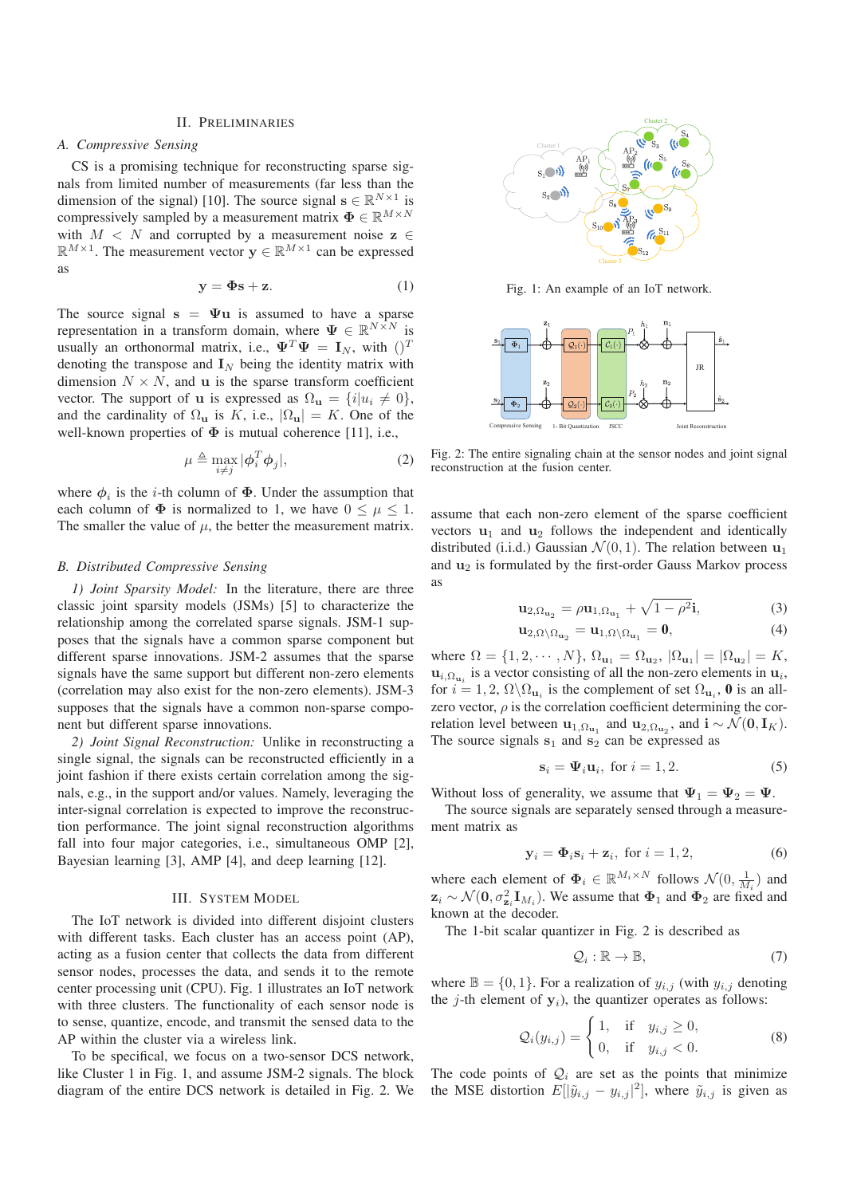#### II. PRELIMINARIES

# *A. Compressive Sensing*

CS is a promising technique for reconstructing sparse signals from limited number of measurements (far less than the dimension of the signal) [10]. The source signal  $\mathbf{s} \in \mathbb{R}^{N \times 1}$  is compressively sampled by a measurement matrix  $\mathbf{\Phi} \in \mathbb{R}^{M \times N}$ with  $M < N$  and corrupted by a measurement noise  $z \in$  $\mathbb{R}^{M \times 1}$ . The measurement vector  $y \in \mathbb{R}^{M \times 1}$  can be expressed as

$$
y = \Phi s + z. \tag{1}
$$

The source signal  $s = \Psi u$  is assumed to have a sparse representation in a transform domain, where  $\Psi \in \mathbb{R}^{N \times N}$  is usually an orthonormal matrix, i.e.,  $\Psi^T \Psi = I_N$ , with  $()^T$ denoting the transpose and  $\mathbf{I}_N$  being the identity matrix with dimension  $N \times N$ , and u is the sparse transform coefficient vector. The support of u is expressed as  $\Omega_{\mathbf{u}} = \{i | u_i \neq 0\},\$ and the cardinality of  $\Omega_{\mathbf{u}}$  is K, i.e.,  $|\Omega_{\mathbf{u}}| = K$ . One of the well-known properties of  $\Phi$  is mutual coherence [11], i.e.,

$$
\mu \triangleq \max_{i \neq j} |\phi_i^T \phi_j|,\tag{2}
$$

where  $\phi_i$  is the *i*-th column of  $\Phi$ . Under the assumption that each column of  $\Phi$  is normalized to 1, we have  $0 \leq \mu \leq 1$ . The smaller the value of  $\mu$ , the better the measurement matrix.

# *B. Distributed Compressive Sensing*

*1) Joint Sparsity Model:* In the literature, there are three classic joint sparsity models (JSMs) [5] to characterize the relationship among the correlated sparse signals. JSM-1 supposes that the signals have a common sparse component but different sparse innovations. JSM-2 assumes that the sparse signals have the same support but different non-zero elements (correlation may also exist for the non-zero elements). JSM-3 supposes that the signals have a common non-sparse component but different sparse innovations.

*2) Joint Signal Reconstruction:* Unlike in reconstructing a single signal, the signals can be reconstructed efficiently in a joint fashion if there exists certain correlation among the signals, e.g., in the support and/or values. Namely, leveraging the inter-signal correlation is expected to improve the reconstruction performance. The joint signal reconstruction algorithms fall into four major categories, i.e., simultaneous OMP [2], Bayesian learning [3], AMP [4], and deep learning [12].

#### III. SYSTEM MODEL

The IoT network is divided into different disjoint clusters with different tasks. Each cluster has an access point (AP), acting as a fusion center that collects the data from different sensor nodes, processes the data, and sends it to the remote center processing unit (CPU). Fig. 1 illustrates an IoT network with three clusters. The functionality of each sensor node is to sense, quantize, encode, and transmit the sensed data to the AP within the cluster via a wireless link.

To be specifical, we focus on a two-sensor DCS network, like Cluster 1 in Fig. 1, and assume JSM-2 signals. The block diagram of the entire DCS network is detailed in Fig. 2. We



Fig. 1: An example of an IoT network.



Fig. 2: The entire signaling chain at the sensor nodes and joint signal reconstruction at the fusion center.

assume that each non-zero element of the sparse coefficient vectors  $\mathbf{u}_1$  and  $\mathbf{u}_2$  follows the independent and identically distributed (i.i.d.) Gaussian  $\mathcal{N}(0, 1)$ . The relation between  $\mathbf{u}_1$ and  $\mathbf{u}_2$  is formulated by the first-order Gauss Markov process as

$$
\mathbf{u}_{2,\Omega_{\mathbf{u}_2}} = \rho \mathbf{u}_{1,\Omega_{\mathbf{u}_1}} + \sqrt{1 - \rho^2} \mathbf{i},\tag{3}
$$

$$
\mathbf{u}_{2,\Omega\setminus\Omega_{\mathbf{u}_2}} = \mathbf{u}_{1,\Omega\setminus\Omega_{\mathbf{u}_1}} = \mathbf{0},\tag{4}
$$

where  $\Omega = \{1, 2, \dots, N\}, \Omega_{u_1} = \Omega_{u_2}, |\Omega_{u_1}| = |\Omega_{u_2}| = K,$  $\mathbf{u}_{i,\Omega_{\mathbf{u}_i}}$  is a vector consisting of all the non-zero elements in  $\mathbf{u}_i$ , for  $i = 1, 2, \Omega \backslash \Omega_{\mathbf{u}_i}$  is the complement of set  $\Omega_{\mathbf{u}_i}$ , **0** is an allzero vector,  $\rho$  is the correlation coefficient determining the correlation level between  $\mathbf{u}_{1,\Omega_{\mathbf{u}_1}}$  and  $\mathbf{u}_{2,\Omega_{\mathbf{u}_2}}$ , and  $\mathbf{i} \sim \mathcal{N}(\mathbf{0}, \mathbf{I}_K)$ . The source signals  $s_1$  and  $s_2$  can be expressed as

$$
\mathbf{s}_i = \mathbf{\Psi}_i \mathbf{u}_i, \text{ for } i = 1, 2. \tag{5}
$$

Without loss of generality, we assume that  $\Psi_1 = \Psi_2 = \Psi$ .

The source signals are separately sensed through a measurement matrix as

$$
\mathbf{y}_i = \mathbf{\Phi}_i \mathbf{s}_i + \mathbf{z}_i, \text{ for } i = 1, 2,
$$
 (6)

where each element of  $\Phi_i \in \mathbb{R}^{M_i \times N}$  follows  $\mathcal{N}(0, \frac{1}{M_i})$  and  $z_i \sim \mathcal{N}(0, \sigma_{z_i}^2 \mathbf{I}_{M_i})$ . We assume that  $\Phi_1$  and  $\Phi_2$  are fixed and known at the decoder.

The 1-bit scalar quantizer in Fig. 2 is described as

$$
\mathcal{Q}_i : \mathbb{R} \to \mathbb{B},\tag{7}
$$

where  $\mathbb{B} = \{0, 1\}$ . For a realization of  $y_{i,j}$  (with  $y_{i,j}$  denoting the  $j$ -th element of  $y_i$ ), the quantizer operates as follows:

$$
\mathcal{Q}_i(y_{i,j}) = \begin{cases} 1, & \text{if } y_{i,j} \ge 0, \\ 0, & \text{if } y_{i,j} < 0. \end{cases} \tag{8}
$$

The code points of  $Q_i$  are set as the points that minimize the MSE distortion  $E[|\tilde{y}_{i,j} - y_{i,j}|^2]$ , where  $\tilde{y}_{i,j}$  is given as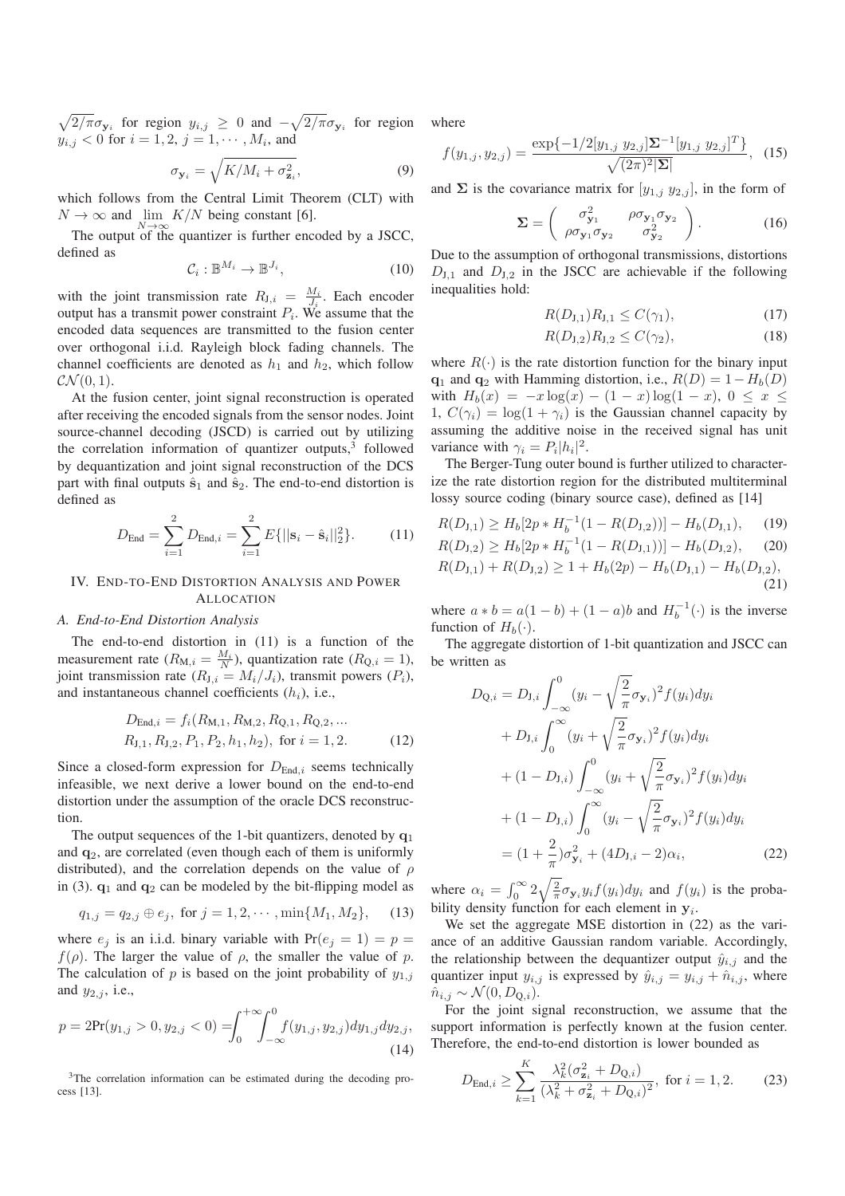$\sqrt{2/\pi}\sigma_{y_i}$  for region  $y_{i,j} \geq 0$  and  $-\sqrt{2/\pi}\sigma_{y_i}$  for region  $y_{i,j} < 0$  for  $i = 1, 2, j = 1, \dots, M_i$ , and

$$
\sigma_{\mathbf{y}_i} = \sqrt{K/M_i + \sigma_{\mathbf{z}_i}^2},\tag{9}
$$

which follows from the Central Limit Theorem (CLT) with  $N \to \infty$  and  $\lim_{N \to \infty} K/N$  being constant [6].

The output of the quantizer is further encoded by a JSCC, defined as

$$
C_i: \mathbb{B}^{M_i} \to \mathbb{B}^{J_i},\tag{10}
$$

with the joint transmission rate  $R_{J,i} = \frac{M_i}{J_i}$ . Each encoder output has a transmit power constraint  $P_i$ . We assume that the encoded data sequences are transmitted to the fusion center over orthogonal i.i.d. Rayleigh block fading channels. The channel coefficients are denoted as  $h_1$  and  $h_2$ , which follow  $\mathcal{CN}(0,1)$ .

At the fusion center, joint signal reconstruction is operated after receiving the encoded signals from the sensor nodes. Joint source-channel decoding (JSCD) is carried out by utilizing the correlation information of quantizer outputs, $3$  followed by dequantization and joint signal reconstruction of the DCS part with final outputs  $\hat{\mathbf{s}}_1$  and  $\hat{\mathbf{s}}_2$ . The end-to-end distortion is defined as

$$
D_{\text{End}} = \sum_{i=1}^{2} D_{\text{End},i} = \sum_{i=1}^{2} E\{||\mathbf{s}_i - \hat{\mathbf{s}}_i||_2^2\}.
$$
 (11)

# IV. END-TO-END DISTORTION ANALYSIS AND POWER ALLOCATION

#### *A. End-to-End Distortion Analysis*

The end-to-end distortion in (11) is a function of the measurement rate  $(R_{M,i} = \frac{M_i}{N})$ , quantization rate  $(R_{Q,i} = 1)$ , joint transmission rate ( $R_{J,i} = M_i/J_i$ ), transmit powers ( $P_i$ ), and instantaneous channel coefficients  $(h_i)$ , i.e.,

$$
D_{\text{End},i} = f_i(R_{M,1}, R_{M,2}, R_{Q,1}, R_{Q,2}, ...
$$
  
\n
$$
R_{J,1}, R_{J,2}, P_1, P_2, h_1, h_2), \text{ for } i = 1, 2.
$$
 (12)

Since a closed-form expression for  $D_{\text{End},i}$  seems technically infeasible, we next derive a lower bound on the end-to-end distortion under the assumption of the oracle DCS reconstruction.

The output sequences of the 1-bit quantizers, denoted by  $q_1$ and  $q_2$ , are correlated (even though each of them is uniformly distributed), and the correlation depends on the value of  $\rho$ in (3).  $q_1$  and  $q_2$  can be modeled by the bit-flipping model as

$$
q_{1,j} = q_{2,j} \oplus e_j, \text{ for } j = 1, 2, \cdots, \min\{M_1, M_2\},\qquad(13)
$$

where  $e_i$  is an i.i.d. binary variable with  $Pr(e_i = 1) = p$  $f(\rho)$ . The larger the value of  $\rho$ , the smaller the value of p. The calculation of p is based on the joint probability of  $y_{1,i}$ and  $y_{2,j}$ , i.e.,

$$
p = 2\Pr(y_{1,j} > 0, y_{2,j} < 0) = \int_0^{+\infty} \int_{-\infty}^0 f(y_{1,j}, y_{2,j}) dy_{1,j} dy_{2,j},\tag{14}
$$

<sup>3</sup>The correlation information can be estimated during the decoding process [13].

where

$$
f(y_{1,j}, y_{2,j}) = \frac{\exp\{-1/2[y_{1,j} y_{2,j}]\Sigma^{-1}[y_{1,j} y_{2,j}]^T\}}{\sqrt{(2\pi)^2|\Sigma|}},
$$
 (15)

and  $\Sigma$  is the covariance matrix for  $[y_{1,j} y_{2,j}]$ , in the form of

$$
\Sigma = \begin{pmatrix} \sigma_{\mathbf{y}_1}^2 & \rho \sigma_{\mathbf{y}_1} \sigma_{\mathbf{y}_2} \\ \rho \sigma_{\mathbf{y}_1} \sigma_{\mathbf{y}_2} & \sigma_{\mathbf{y}_2}^2 \end{pmatrix} . \tag{16}
$$

Due to the assumption of orthogonal transmissions, distortions  $D_{J,1}$  and  $D_{J,2}$  in the JSCC are achievable if the following inequalities hold:

$$
R(D_{J,1})R_{J,1} \le C(\gamma_1),\tag{17}
$$

$$
R(D_{J,2})R_{J,2} \le C(\gamma_2),\tag{18}
$$

where  $R(\cdot)$  is the rate distortion function for the binary input  $\mathbf{q}_1$  and  $\mathbf{q}_2$  with Hamming distortion, i.e.,  $R(D) = 1 - H_b(D)$ with  $H_b(x) = -x \log(x) - (1-x) \log(1-x)$ ,  $0 \le x \le$ 1,  $C(\gamma_i) = \log(1 + \gamma_i)$  is the Gaussian channel capacity by assuming the additive noise in the received signal has unit variance with  $\gamma_i = P_i |h_i|^2$ .

The Berger-Tung outer bound is further utilized to characterize the rate distortion region for the distributed multiterminal lossy source coding (binary source case), defined as [14]

$$
R(D_{J,1}) \ge H_b[2p * H_b^{-1}(1 - R(D_{J,2}))] - H_b(D_{J,1}), \quad (19)
$$
  
\n
$$
R(D_{J,2}) \ge H_b[2p * H_b^{-1}(1 - R(D_{J,1}))] - H_b(D_{J,2}), \quad (20)
$$
  
\n
$$
R(D_{J,1}) + R(D_{J,2}) \ge 1 + H_b(2p) - H_b(D_{J,1}) - H_b(D_{J,2}), \quad (21)
$$

where  $a * b = a(1 - b) + (1 - a)b$  and  $H_b^{-1}(\cdot)$  is the inverse function of  $H_b(\cdot)$ .

The aggregate distortion of 1-bit quantization and JSCC can be written as

$$
D_{Q,i} = D_{J,i} \int_{-\infty}^{0} (y_i - \sqrt{\frac{2}{\pi}} \sigma_{y_i})^2 f(y_i) dy_i
$$
  
+ 
$$
D_{J,i} \int_{0}^{\infty} (y_i + \sqrt{\frac{2}{\pi}} \sigma_{y_i})^2 f(y_i) dy_i
$$
  
+ 
$$
(1 - D_{J,i}) \int_{-\infty}^{0} (y_i + \sqrt{\frac{2}{\pi}} \sigma_{y_i})^2 f(y_i) dy_i
$$
  
+ 
$$
(1 - D_{J,i}) \int_{0}^{\infty} (y_i - \sqrt{\frac{2}{\pi}} \sigma_{y_i})^2 f(y_i) dy_i
$$
  
= 
$$
(1 + \frac{2}{\pi}) \sigma_{y_i}^2 + (4D_{J,i} - 2) \alpha_i,
$$
 (22)

where  $\alpha_i = \int_0^\infty 2\sqrt{\frac{2}{\pi}} \sigma_{y_i} y_i f(y_i) dy_i$  and  $f(y_i)$  is the probability density function for each element in  $y_i$ .

We set the aggregate MSE distortion in (22) as the variance of an additive Gaussian random variable. Accordingly, the relationship between the dequantizer output  $\hat{y}_{i,j}$  and the quantizer input  $y_{i,j}$  is expressed by  $\hat{y}_{i,j} = y_{i,j} + \hat{n}_{i,j}$ , where  $\hat{n}_{i,j} \sim \mathcal{N}(0, D_{0,i}).$ 

For the joint signal reconstruction, we assume that the support information is perfectly known at the fusion center. Therefore, the end-to-end distortion is lower bounded as

$$
D_{\text{End},i} \ge \sum_{k=1}^{K} \frac{\lambda_k^2 (\sigma_{\mathbf{z}_i}^2 + D_{\mathbf{Q},i})}{(\lambda_k^2 + \sigma_{\mathbf{z}_i}^2 + D_{\mathbf{Q},i})^2}, \text{ for } i = 1, 2.
$$
 (23)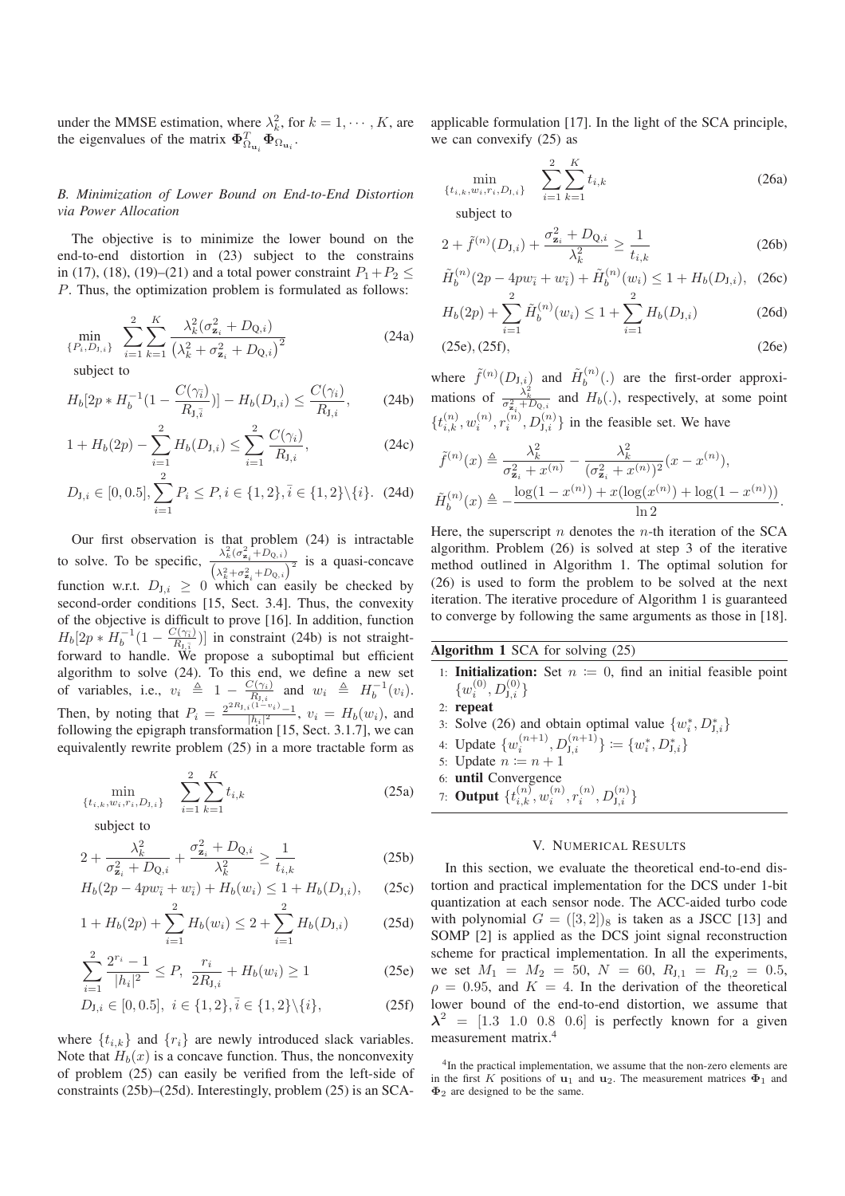under the MMSE estimation, where  $\lambda_k^2$ , for  $k = 1, \dots, K$ , are the eigenvalues of the matrix  $\mathbf{\Phi}_{\Omega_{\mathbf{u}_i}}^T \mathbf{\Phi}_{\Omega_{\mathbf{u}_i}}$ .

# *B. Minimization of Lower Bound on End-to-End Distortion via Power Allocation*

The objective is to minimize the lower bound on the end-to-end distortion in (23) subject to the constrains in (17), (18), (19)–(21) and a total power constraint  $P_1+P_2 \leq$ P. Thus, the optimization problem is formulated as follows:

$$
\min_{\{P_i, D_{1,i}\}} \sum_{i=1}^{2} \sum_{k=1}^{K} \frac{\lambda_k^2 (\sigma_{\mathbf{z}_i}^2 + D_{Q,i})}{(\lambda_k^2 + \sigma_{\mathbf{z}_i}^2 + D_{Q,i})^2}
$$
(24a)

subject to

$$
H_b[2p * H_b^{-1}(1 - \frac{C(\gamma_i)}{R_{J,\bar{i}}})] - H_b(D_{J,i}) \le \frac{C(\gamma_i)}{R_{J,i}},
$$
 (24b)

$$
1 + H_b(2p) - \sum_{i=1}^{2} H_b(D_{J,i}) \le \sum_{i=1}^{2} \frac{C(\gamma_i)}{R_{J,i}},
$$
\n(24c)

$$
D_{\mathbf{J},i} \in [0, 0.5], \sum_{i=1}^{2} P_i \le P, i \in \{1, 2\}, \overline{i} \in \{1, 2\} \setminus \{i\}. \tag{24d}
$$

Our first observation is that problem (24) is intractable to solve. To be specific,  $\frac{\lambda_k^2(\sigma_{\mathbf{z}_i}^2 + D_{Q,i})}{\sqrt{(\sigma_{\mathbf{z}_i}^2 + D_{Q,i})}}$  $\frac{\lambda_k(\sigma_{\mathbf{z}_i} + D_{\mathbf{Q},i})}{\left(\lambda_k^2 + \sigma_{\mathbf{z}_i}^2 + D_{\mathbf{Q},i}\right)^2}$  is a quasi-concave function w.r.t.  $D_{J,i} \geq 0$  which can easily be checked by second-order conditions [15, Sect. 3.4]. Thus, the convexity of the objective is difficult to prove [16]. In addition, function  $H_b[2p * H_b^{-1}(1 - \frac{C(\gamma_{\bar{i}})}{R_{1,\bar{i}}}]$  $(\frac{\sqrt{(\gamma_i)}}{R_{J,\bar{i}}})$ ] in constraint (24b) is not straightforward to handle. We propose a suboptimal but efficient algorithm to solve (24). To this end, we define a new set of variables, i.e.,  $v_i \triangleq 1 - \frac{C(\gamma_i)}{R_{1,i}}$  $\frac{C(\gamma_i)}{R_{J,i}}$  and  $w_i \triangleq H_b^{-1}(v_i)$ . Then, by noting that  $P_i = \frac{2^{2R_{J,i}(1-v_i)}-1}{|h_i|^2}$ ,  $v_i = H_b(w_i)$ , and following the epigraph transformation [15, Sect. 3.1.7], we can equivalently rewrite problem (25) in a more tractable form as

$$
\min_{\{t_{i,k}, w_i, r_i, D_{\mathcal{I},i}\}} \quad \sum_{i=1}^2 \sum_{k=1}^K t_{i,k} \tag{25a}
$$

subject to

$$
2 + \frac{\lambda_k^2}{\sigma_{\mathbf{z}_i}^2 + D_{Q,i}} + \frac{\sigma_{\mathbf{z}_i}^2 + D_{Q,i}}{\lambda_k^2} \ge \frac{1}{t_{i,k}}
$$
 (25b)

$$
H_b(2p - 4pw_{\bar{i}} + w_{\bar{i}}) + H_b(w_i) \le 1 + H_b(D_{J,i}), \quad (25c)
$$

$$
1 + H_b(2p) + \sum_{i=1}^{2} H_b(w_i) \le 2 + \sum_{i=1}^{2} H_b(D_{J,i})
$$
 (25d)

$$
\sum_{i=1}^{2} \frac{2^{r_i} - 1}{|h_i|^2} \le P, \ \frac{r_i}{2R_{J,i}} + H_b(w_i) \ge 1 \tag{25e}
$$

$$
D_{J,i} \in [0, 0.5], \ i \in \{1, 2\}, \bar{i} \in \{1, 2\} \setminus \{i\},\tag{25f}
$$

where  $\{t_{i,k}\}\$  and  $\{r_i\}\$ are newly introduced slack variables. Note that  $H_b(x)$  is a concave function. Thus, the nonconvexity of problem (25) can easily be verified from the left-side of constraints (25b)–(25d). Interestingly, problem (25) is an SCA-

applicable formulation [17]. In the light of the SCA principle, we can convexify (25) as

$$
\min_{\{t_{i,k}, w_i, r_i, D_{\mathcal{J},i}\}} \quad \sum_{i=1}^2 \sum_{k=1}^K t_{i,k} \tag{26a}
$$

subject to

$$
2 + \tilde{f}^{(n)}(D_{\mathcal{I},i}) + \frac{\sigma_{\mathbf{z}_i}^2 + D_{\mathcal{Q},i}}{\lambda_k^2} \ge \frac{1}{t_{i,k}} \tag{26b}
$$

$$
\tilde{H}_b^{(n)}(2p - 4pw_{\bar{i}} + w_{\bar{i}}) + \tilde{H}_b^{(n)}(w_i) \le 1 + H_b(D_{J,i}), \quad (26c)
$$

$$
H_b(2p) + \sum_{i=1}^{n} \tilde{H}_b^{(n)}(w_i) \le 1 + \sum_{i=1}^{n} H_b(D_{J,i})
$$
 (26d)

$$
(25e), (25f), \tag{26e}
$$

where  $\tilde{f}^{(n)}(D_{\mathrm{J},i})$  and  $\tilde{H}_b^{(n)}$  $b^{(n)}(.)$  are the first-order approximations of  $\frac{\lambda_k^2}{\sigma_{\mathbf{z}_i}^2 + D_{Q,i}}$  and  $H_b(.)$ , respectively, at some point  $\{t_{i,k}^{(n)}, w_i^{(n)}, r_i^{(n)}, D_{\mathrm{J},i}^{(n)}\}$  in the feasible set. We have

$$
\tilde{f}^{(n)}(x) \triangleq \frac{\lambda_k^2}{\sigma_{\mathbf{z}_i}^2 + x^{(n)}} - \frac{\lambda_k^2}{(\sigma_{\mathbf{z}_i}^2 + x^{(n)})^2} (x - x^{(n)}),
$$
  

$$
\tilde{H}_b^{(n)}(x) \triangleq -\frac{\log(1 - x^{(n)}) + x(\log(x^{(n)}) + \log(1 - x^{(n)}))}{\ln 2}.
$$

Here, the superscript  $n$  denotes the  $n$ -th iteration of the SCA algorithm. Problem (26) is solved at step 3 of the iterative method outlined in Algorithm 1. The optimal solution for (26) is used to form the problem to be solved at the next iteration. The iterative procedure of Algorithm 1 is guaranteed to converge by following the same arguments as those in [18].

- Algorithm 1 SCA for solving (25)
- 1: **Initialization:** Set  $n := 0$ , find an initial feasible point  $\{w_i^{(0)}, D_{{\rm J},i}^{(0)}\}$
- 2: repeat
- 3: Solve (26) and obtain optimal value  $\{w_i^*, D_{J,i}^*\}$
- 4: Update  $\{w_i^{(n+1)}, D_{\mathbf{J},i}^{(n+1)}\} := \{w_i^*, D_{\mathbf{J},i}^*\}$
- 5: Update  $n := n + 1$
- 6: until Convergence
- 7: **Output**  $\{t_{i,k}^{(n)}, w_i^{(n)}, r_i^{(n)}, D_{\mathrm{J},i}^{(n)}\}$

# V. NUMERICAL RESULTS

In this section, we evaluate the theoretical end-to-end distortion and practical implementation for the DCS under 1-bit quantization at each sensor node. The ACC-aided turbo code with polynomial  $G = ([3, 2])_8$  is taken as a JSCC [13] and SOMP [2] is applied as the DCS joint signal reconstruction scheme for practical implementation. In all the experiments, we set  $M_1 = M_2 = 50$ ,  $N = 60$ ,  $R_{J,1} = R_{J,2} = 0.5$ ,  $\rho = 0.95$ , and  $K = 4$ . In the derivation of the theoretical lower bound of the end-to-end distortion, we assume that  $\lambda^2$  = [1.3 1.0 0.8 0.6] is perfectly known for a given measurement matrix.<sup>4</sup>

<sup>&</sup>lt;sup>4</sup>In the practical implementation, we assume that the non-zero elements are in the first K positions of  $\mathbf{u}_1$  and  $\mathbf{u}_2$ . The measurement matrices  $\mathbf{\Phi}_1$  and  $\Phi_2$  are designed to be the same.